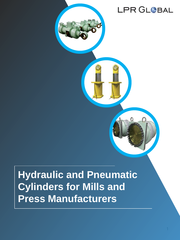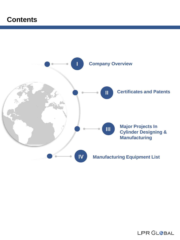## **Contents**

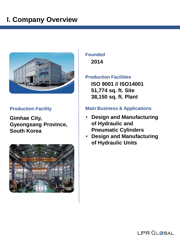# **I. Company Overview**



### **Production Facility**

**Gimhae City, Gyeongsang Province, South Korea**



### **Founded 2014**

### **Production Facilities**

**ISO 9001 // ISO14001 51,774 sq. ft. Site 38,150 sq. ft. Plant**

### **Main Business & Applications**

- **Design and Manufacturing of Hydraulic and Pneumatic Cylinders**
- **Design and Manufacturing of Hydraulic Units**

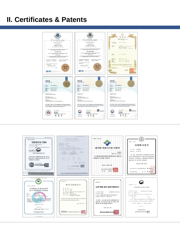### **II. Certificates & Patents**



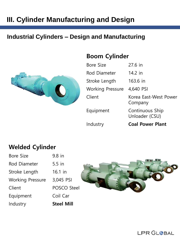### **Industrial Cylinders – Design and Manufacturing**



| Bore Size               | $27.6$ in                         |
|-------------------------|-----------------------------------|
| Rod Diameter            | $14.2$ in                         |
| Stroke Length           | 163.6 in                          |
| <b>Working Pressure</b> | 4,640 PSI                         |
| Client                  | Korea East-West Power<br>Company  |
| Equipment               | Continuous Ship<br>Unloader (CSU) |

**Boom Cylinder**

Industry **Coal Power Plant**

### **Welded Cylinder**

| Industry                | <b>Steel Mill</b> |
|-------------------------|-------------------|
| Equipment               | Coil Car          |
| Client                  | POSCO Steel       |
| <b>Working Pressure</b> | 3,045 PSI         |
| Stroke Length           | $16.1$ in         |
| Rod Diameter            | $5.5$ in          |
| <b>Bore Size</b>        | $9.8$ in          |



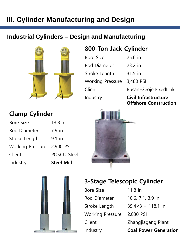### **Industrial Cylinders – Design and Manufacturing**



## **800-Ton Jack Cylinder**

| Industry                | <b>Civil Infrastructure</b><br><b>Offshore Construction</b> |
|-------------------------|-------------------------------------------------------------|
| Client                  | <b>Busan-Geoje FixedLink</b>                                |
|                         |                                                             |
| <b>Working Pressure</b> | 3,480 PSI                                                   |
| Stroke Length           | 31.5 in                                                     |
| Rod Diameter            | $23.2$ in                                                   |
| Bore Size               | $25.6$ in                                                   |

## **Clamp Cylinder**

| Industry                | <b>Steel Mill</b> |
|-------------------------|-------------------|
| Client                  | POSCO Steel       |
| <b>Working Pressure</b> | 2,900 PSI         |
| Stroke Length           | $9.1$ in          |
| Rod Diameter            | $7.9$ in          |
| Bore Size               | $13.8$ in         |





## **3-Stage Telescopic Cylinder**

| Industry                | <b>Coal Power Generation</b> |
|-------------------------|------------------------------|
| Client                  | Zhangjiagang Plant           |
| <b>Working Pressure</b> | 2,030 PSI                    |
| Stroke Length           | $39.4 \times 3 = 118.1$ in   |
| Rod Diameter            | 10.6, 7.1, 3.9 in            |
| Bore Size               | $11.8$ in                    |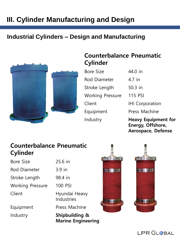### **Industrial Cylinders – Design and Manufacturing**



### **Counterbalance Pneumatic Cylinder**

| <b>Bore Size</b>        |
|-------------------------|
| Rod Diameter            |
| Stroke Length           |
| <b>Working Pressure</b> |
| Client                  |
| Equipment               |
| Industry                |

 $4.7$  in  $50.3$  in 115 PSI IHI Corporation Press Machine

 $44.0$  in

**Heavy Equipment for Energy, Offshore, Aerospace, Defense**

### **Counterbalance Pneumatic Cylinder**

Bore Size 25.6 in

Rod Diameter 3.9 in

Stroke Length 98.4 in

Working Pressure 100 PSI

Client Hyundai Heavy Industries

Equipment Press Machine

Industry **Shipbuilding & Marine Engineering**



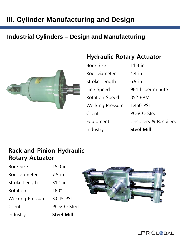### **Industrial Cylinders – Design and Manufacturing**



### **Hydraulic Rotary Actuator**

| Industry                | <b>Steel Mill</b>     |
|-------------------------|-----------------------|
| Equipment               | Uncoilers & Recoilers |
| Client                  | POSCO Steel           |
| <b>Working Pressure</b> | 1,450 PSI             |
| <b>Rotation Speed</b>   | 852 RPM               |
| Line Speed              | 984 ft per minute     |
| Stroke Length           | $6.9$ in              |
| Rod Diameter            | 4.4 in                |
| Bore Size               | 11.8 in               |

### **Rack-and-Pinion Hydraulic Rotary Actuator**

| Industry                | <b>Steel Mill</b> |
|-------------------------|-------------------|
| Client                  | POSCO Steel       |
| <b>Working Pressure</b> | 3,045 PSI         |
| Rotation                | $180^\circ$       |
| Stroke Length           | 31.1 in           |
| <b>Rod Diameter</b>     | $7.5$ in          |
| <b>Bore Size</b>        | 15.0 in           |



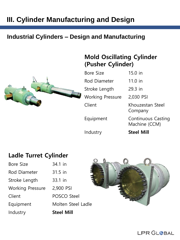### **Industrial Cylinders – Design and Manufacturing**



| Bore Size               | 15.0 in                                    |
|-------------------------|--------------------------------------------|
| Rod Diameter            | $11.0$ in                                  |
| Stroke Length           | 29.3 in                                    |
| <b>Working Pressure</b> | 2,030 PSI                                  |
| Client                  | Khouzestan Steel<br>Company                |
| Equipment               | <b>Continuous Casting</b><br>Machine (CCM) |
| Industry                | <b>Steel Mill</b>                          |

**Mold Oscillating Cylinder**

**(Pusher Cylinder)**

### **Ladle Turret Cylinder**

| Industry                | <b>Steel Mill</b>  |
|-------------------------|--------------------|
| Equipment               | Molten Steel       |
| Client                  | <b>POSCO Steel</b> |
| <b>Working Pressure</b> | 2,900 PSI          |
| Stroke Length           | 33.1 in            |
| Rod Diameter            | 31.5 in            |
| <b>Bore Size</b>        | 34.1 in            |

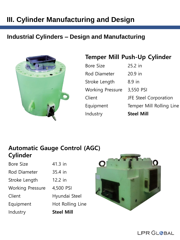### **Industrial Cylinders – Design and Manufacturing**



### **Temper Mill Push-Up Cylinder**

| Industry                | <b>Steel Mill</b>        |
|-------------------------|--------------------------|
| Equipment               | Temper Mill Rolling Line |
| Client                  | JFE Steel Corporation    |
| <b>Working Pressure</b> | 3,550 PSI                |
| Stroke Length           | $8.9$ in                 |
| Rod Diameter            | $20.9$ in                |
| Bore Size               | 25.2 in                  |

### **Automatic Gauge Control (AGC) Cylinder**

| Industry                | <b>Steel Mill</b> |
|-------------------------|-------------------|
| Equipment               | Hot Rolling Line  |
| Client                  | Hyundai Steel     |
| <b>Working Pressure</b> | 4,500 PSI         |
| Stroke Length           | 12.2 in           |
| <b>Rod Diameter</b>     | 35.4 in           |
| <b>Bore Size</b>        | 41.3 in           |



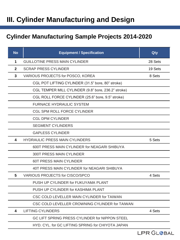### **Cylinder Manufacturing Sample Projects 2014-2020**

| <b>No</b>    | <b>Equipment / Specification</b>                    | Qty     |  |  |
|--------------|-----------------------------------------------------|---------|--|--|
| 1            | <b>GUILLOTINE PRESS MAIN CYLINDER</b>               | 28 Sets |  |  |
| $\mathbf{2}$ | <b>SCRAP PRESS CYLINDER</b>                         | 19 Sets |  |  |
| 3            | VARIOUS PROJECTS for POSCO, KOREA<br>8 Sets         |         |  |  |
|              | CGL POT LIFTING CYLINDER (31.5" bore, 80" stroke)   |         |  |  |
|              | CGL TEMPER MILL CYLINDER (9.8" bore, 236.2" stroke) |         |  |  |
|              | CGL ROLL FORCE CYLINDER (25.6" bore, 9.5" stroke)   |         |  |  |
|              | <b>FURNACE HYDRAULIC SYSTEM</b>                     |         |  |  |
|              | <b>CGL SPM ROLL FORCE CYLINDER</b>                  |         |  |  |
|              | <b>CGL DPM CYLINDER</b>                             |         |  |  |
|              | <b>SEGMENT CYLINDERS</b>                            |         |  |  |
|              | <b>GAPLESS CYLINDER</b>                             |         |  |  |
| 4            | <b>HYDRAULIC PRESS MAIN CYLINDERS</b>               | 5 Sets  |  |  |
|              | 600T PRESS MAIN CYLINDER for NEAGARI SHIBUYA        |         |  |  |
|              | <b>300T PRESS MAIN CYLINDER</b>                     |         |  |  |
|              | <b>60T PRESS MAIN CYLINDER</b>                      |         |  |  |
|              | 40T PRESS MAIN CYLINDER for NEAGARI SHIBUYA         |         |  |  |
| 5            | <b>VARIOUS PROJECTS for CISCO/SPCO</b>              | 4 Sets  |  |  |
|              | PUSH UP CYLINDER for FUKUYAMA PLANT                 |         |  |  |
|              | PUSH UP CYLINDER for KASHIMA PLANT                  |         |  |  |
|              | CSC COLD LEVELLER MAIN CYLINDER for TAIWAN          |         |  |  |
|              | CSC COLD LEVELLER CROWNING CYLINDER for TAIWAN      |         |  |  |
| 4            | <b>LIFTING CYLINDERS</b>                            | 4 Sets  |  |  |
|              | GC LIFT SPRING PRESS CYLINDER for NIPPON STEEL      |         |  |  |
|              | HYD. CYL. for GC LIFTING SPRING for CHIYOTA JAPAN   |         |  |  |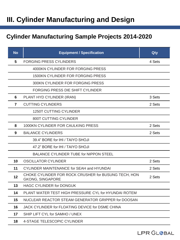### **Cylinder Manufacturing Sample Projects 2014-2020**

| <b>No</b> | <b>Equipment / Specification</b>                                                          | Qty    |
|-----------|-------------------------------------------------------------------------------------------|--------|
| 5         | <b>FORGING PRESS CYLINDERS</b>                                                            | 4 Sets |
|           | 4000KN CYLINDER FOR FORGING PRESS                                                         |        |
|           | <b>1500KN CYLINDER FOR FORGING PRESS</b>                                                  |        |
|           | 300KN CYLINDER FOR FORGING PRESS                                                          |        |
|           | FORGING PRESS DIE SHIFT CYLINDER                                                          |        |
| 6         | PLANT HYD CYLINDER (IRAN)                                                                 | 3 Sets |
| 7         | <b>CUTTING CYLINDERS</b>                                                                  | 2 Sets |
|           | <b>1250T CUTTING CYLINDER</b>                                                             |        |
|           | 800T CUTTING CYLINDER                                                                     |        |
| 8         | 1000KN CYLINDER FOR CAULKING PRESS                                                        | 2 Sets |
| 9         | <b>BALANCE CYLINDERS</b>                                                                  | 2 Sets |
|           | 39.4" BORE for IHI / TAIYO SHOJI                                                          |        |
|           | 47.2" BORE for IHI / TAIYO SHOJI                                                          |        |
|           | <b>BALANCE CYLINDER TUBE for NIPPON STEEL</b>                                             |        |
| 10        | <b>OSCILLATOR CYLINDER</b>                                                                | 2 Sets |
| 11        | <b>CYLINDER MAINTENANCE for SEAH and HYUNDAI</b>                                          | 2 Sets |
| 12        | CHOKE CYLINDER FOR ROCK CRUSHER for BUSUNG TECH, HON<br>2 Sets<br><b>GKONG, SINGAPORE</b> |        |
| 13        | <b>HAGC CYLINDER for DONGUK</b>                                                           |        |
| 14        | PLANT WATER TEST HIGH PRESSURE CYL for HYUNDAI ROTEM                                      |        |
| 15        | NUCLEAR REACTOR STEAM GENERATOR GRIPPER for DOOSAN                                        |        |
| 16        | JACK CYLINDER for FLOATING DEVICE for DSME CHINA                                          |        |
| 17        | SHIP LIFT CYL for SAMHO / UNEX                                                            |        |
| 18        | <b>4-STAGE TELESCOPIC CYLINDER</b>                                                        |        |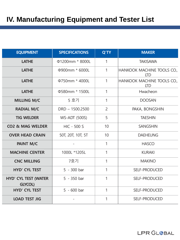| <b>EQUIPMENT</b>                              | <b>SPECIFICATIONS</b> | <b>Q'TY</b>    | <b>MAKER</b>                             |
|-----------------------------------------------|-----------------------|----------------|------------------------------------------|
| <b>LATHE</b>                                  | Φ1200mm * 8000L       | 1              | <b>TAKISAWA</b>                          |
| <b>LATHE</b>                                  | Φ900mm * 6000L        | 1              | HANKOOK MACHINE TOOLS CO.,<br><b>LTD</b> |
| <b>LATHE</b>                                  | Φ750mm * 4000L        | 1              | HANKOOK MACHINE TOOLS CO.,<br><b>LTD</b> |
| <b>LATHE</b>                                  | Φ580mm * 1500L        | $\mathbf{1}$   | Hwacheon                                 |
| <b>MILLING M/C</b>                            | 5 호기                  | 1              | <b>DOOSAN</b>                            |
| <b>RADIAL M/C</b>                             | $DRD - 1500.2500$     | $\overline{2}$ | PAKA, BONGSHIN                           |
| <b>TIG WELDER</b>                             | <b>WS-ADT (500S)</b>  | 5              | <b>TAESHIN</b>                           |
| CO <sub>2</sub> & MAG WELDER                  | <b>HIC - 500 S</b>    | 10             | <b>SANGSHIN</b>                          |
| <b>OVER HEAD CRAIN</b>                        | 50T, 20T, 10T, 5T     | 10             | <b>DAEHEUNG</b>                          |
| <b>PAINT M/C</b>                              |                       | 1              | <b>HASCO</b>                             |
| <b>MACHINE CENTER</b>                         | 1000L *1205L          | 1              | <b>KURAKI</b>                            |
| <b>CNC MILLING</b>                            | 7호기                   | 1              | <b>MAKINO</b>                            |
| <b>HYD' CYL TEST</b>                          | 5 - 300 bar           | 1              | SELF-PRODUCED                            |
| <b>HYD' CYL TEST (WATER</b><br><b>GLYCOL)</b> | 5 - 350 bar           | 1              | SELF-PRODUCED                            |
| <b>HYD' CYL TEST</b>                          | $5 - 600$ bar         | 1              | SELF-PRODUCED                            |
| <b>LOAD TEST JIG</b>                          |                       | 1              | SELF-PRODUCED                            |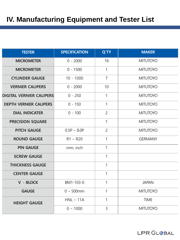| <b>TESTER</b>                   | <b>SPECIFICATION</b> | Q'TY           | <b>MAKER</b>    |
|---------------------------------|----------------------|----------------|-----------------|
| <b>MICROMETER</b>               | $0 - 2000$           | 16             | <b>MITUTOYO</b> |
| <b>MICROMETER</b>               | $0 - 1500$           | $\mathbf{1}$   | <b>MITUTOYO</b> |
| <b>CYLINDER GAUGE</b>           | $10 - 1000$          | $\overline{7}$ | <b>MITUTOYO</b> |
| <b>VERNIER CALIPERS</b>         | $0 - 2000$           | 10             | <b>MITUTOYO</b> |
| <b>DIGITAL VERNIER CALIPERS</b> | $0 - 250$            | 1              | <b>MITUTOYO</b> |
| <b>DEPTH VERNIER CALIPERS</b>   | $0 - 150$            | $\mathbf{1}$   | <b>MITUTOYO</b> |
| <b>DIAL INDICATER</b>           | $0 - 100$            | $\overline{2}$ | <b>MITUTOYO</b> |
| <b>PRECISION SQUARE</b>         |                      | 1              | <b>MITUTOYO</b> |
| <b>PITCH GAUGE</b>              | $0.5P - 8.0P$        | $\overline{2}$ | <b>MITUTOYO</b> |
| <b>ROUND GAUGE</b>              | $R1 - R20$           | $\mathbf{1}$   | <b>GERMANY</b>  |
| <b>PIN GAUGE</b>                | mm, inch             | $\mathbf{1}$   |                 |
| <b>SCREW GAUGE</b>              |                      | 1              |                 |
| <b>THICKNESS GAUGE</b>          |                      | $\mathbf{1}$   |                 |
| <b>CENTER GAUGE</b>             |                      | $\mathbf{1}$   |                 |
| V - BLOCK                       | BM1-103-0            | 1              | <b>JAPAN</b>    |
| <b>GAUGE</b>                    | $0 - 500$ mm         | 1              | <b>MITUTOYO</b> |
| <b>HEIGHT GAUGE</b>             | $HNL - 11A$          | $\mathbf{1}$   | <b>TIME</b>     |
|                                 | $0 - 1000$           | 3              | <b>MITUTOYO</b> |